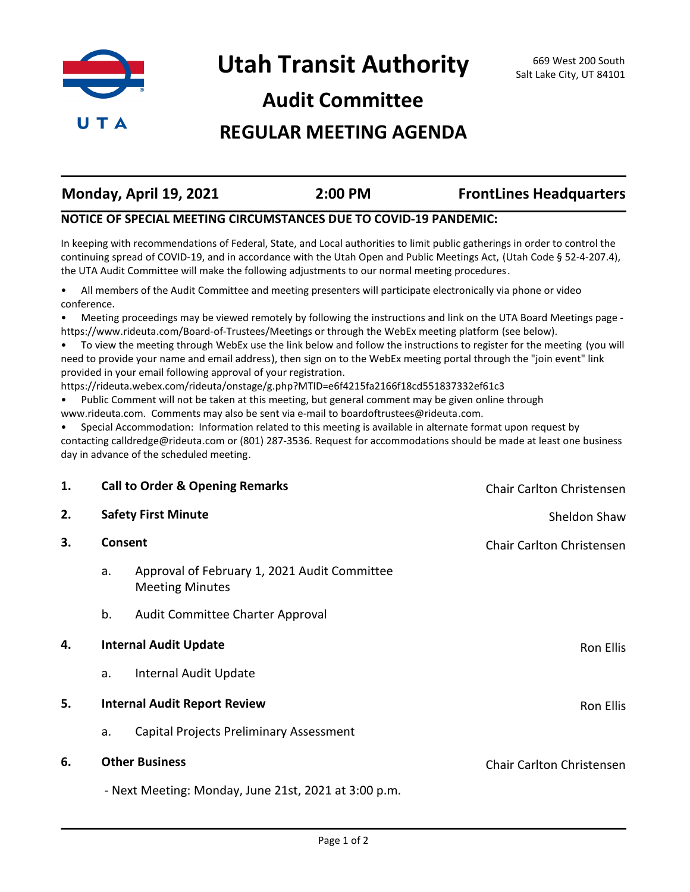

# **Audit Committee**

## **REGULAR MEETING AGENDA**

| Monday, April 19, 2021 | 2:00 PM | <b>FrontLines Headquarters</b> |
|------------------------|---------|--------------------------------|
|                        |         |                                |

### **NOTICE OF SPECIAL MEETING CIRCUMSTANCES DUE TO COVID-19 PANDEMIC:**

In keeping with recommendations of Federal, State, and Local authorities to limit public gatherings in order to control the continuing spread of COVID-19, and in accordance with the Utah Open and Public Meetings Act, (Utah Code § 52-4-207.4), the UTA Audit Committee will make the following adjustments to our normal meeting procedures.

• All members of the Audit Committee and meeting presenters will participate electronically via phone or video conference.

• Meeting proceedings may be viewed remotely by following the instructions and link on the UTA Board Meetings page https://www.rideuta.com/Board-of-Trustees/Meetings or through the WebEx meeting platform (see below).

• To view the meeting through WebEx use the link below and follow the instructions to register for the meeting (you will need to provide your name and email address), then sign on to the WebEx meeting portal through the "join event" link provided in your email following approval of your registration.

https://rideuta.webex.com/rideuta/onstage/g.php?MTID=e6f4215fa2166f18cd551837332ef61c3

• Public Comment will not be taken at this meeting, but general comment may be given online through www.rideuta.com. Comments may also be sent via e-mail to boardoftrustees@rideuta.com.

• Special Accommodation: Information related to this meeting is available in alternate format upon request by contacting calldredge@rideuta.com or (801) 287-3536. Request for accommodations should be made at least one business day in advance of the scheduled meeting.

| 1.                                                   | <b>Call to Order &amp; Opening Remarks</b><br><b>Safety First Minute</b> |                                                                        | <b>Chair Carlton Christensen</b> |
|------------------------------------------------------|--------------------------------------------------------------------------|------------------------------------------------------------------------|----------------------------------|
| 2.                                                   |                                                                          |                                                                        | Sheldon Shaw                     |
| 3.                                                   | Consent                                                                  |                                                                        | Chair Carlton Christensen        |
|                                                      | a.                                                                       | Approval of February 1, 2021 Audit Committee<br><b>Meeting Minutes</b> |                                  |
|                                                      | b.                                                                       | Audit Committee Charter Approval                                       |                                  |
| 4.                                                   | <b>Internal Audit Update</b>                                             |                                                                        | Ron Ellis                        |
|                                                      | a.                                                                       | Internal Audit Update                                                  |                                  |
| 5.                                                   |                                                                          | <b>Internal Audit Report Review</b><br>Ron Ellis                       |                                  |
|                                                      | a.                                                                       | Capital Projects Preliminary Assessment                                |                                  |
| 6.                                                   | <b>Other Business</b>                                                    |                                                                        | <b>Chair Carlton Christensen</b> |
| - Next Meeting: Monday, June 21st, 2021 at 3:00 p.m. |                                                                          |                                                                        |                                  |